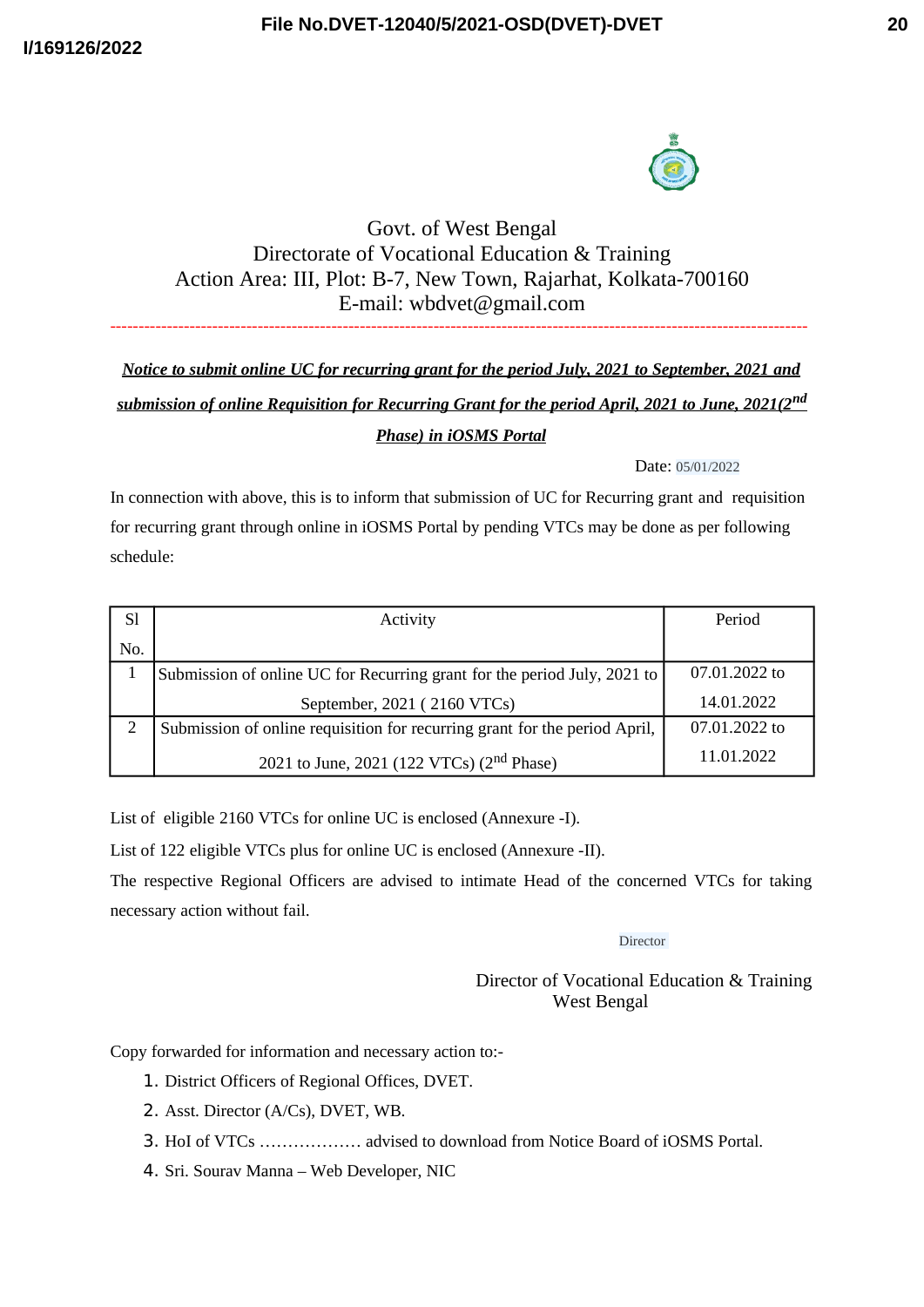



## Govt. of West Bengal Directorate of Vocational Education & Training Action Area: III, Plot: B-7, New Town, Rajarhat, Kolkata-700160 E-mail: wbdvet@gmail.com ---------------------------------------------------------------------------------------------------------------------------

## *Notice to submit online UC for recurring grant for the period July, 2021 to September, 2021 and submission of online Requisition for Recurring Grant for the period April, 2021 to June, 2021(2nd Phase) in iOSMS Portal*

Date: 05/01/2022

In connection with above, this is to inform that submission of UC for Recurring grant and requisition for recurring grant through online in iOSMS Portal by pending VTCs may be done as per following schedule:

| <b>Sl</b>      | Activity                                                                   | Period        |
|----------------|----------------------------------------------------------------------------|---------------|
| No.            |                                                                            |               |
| 1              | Submission of online UC for Recurring grant for the period July, 2021 to   | 07.01.2022 to |
|                | September, 2021 (2160 VTCs)                                                | 14.01.2022    |
| $\overline{2}$ | Submission of online requisition for recurring grant for the period April, | 07.01.2022 to |
|                | 2021 to June, 2021 (122 VTCs) (2 <sup>nd</sup> Phase)                      | 11.01.2022    |

List of eligible 2160 VTCs for online UC is enclosed (Annexure -I).

List of 122 eligible VTCs plus for online UC is enclosed (Annexure -II).

The respective Regional Officers are advised to intimate Head of the concerned VTCs for taking necessary action without fail.

Director

Director of Vocational Education & Training West Bengal

Copy forwarded for information and necessary action to:-

- 1. District Officers of Regional Offices, DVET.
- 2. Asst. Director (A/Cs), DVET, WB.
- 3. HoI of VTCs ……………… advised to download from Notice Board of iOSMS Portal.
- 4. Sri. Sourav Manna Web Developer, NIC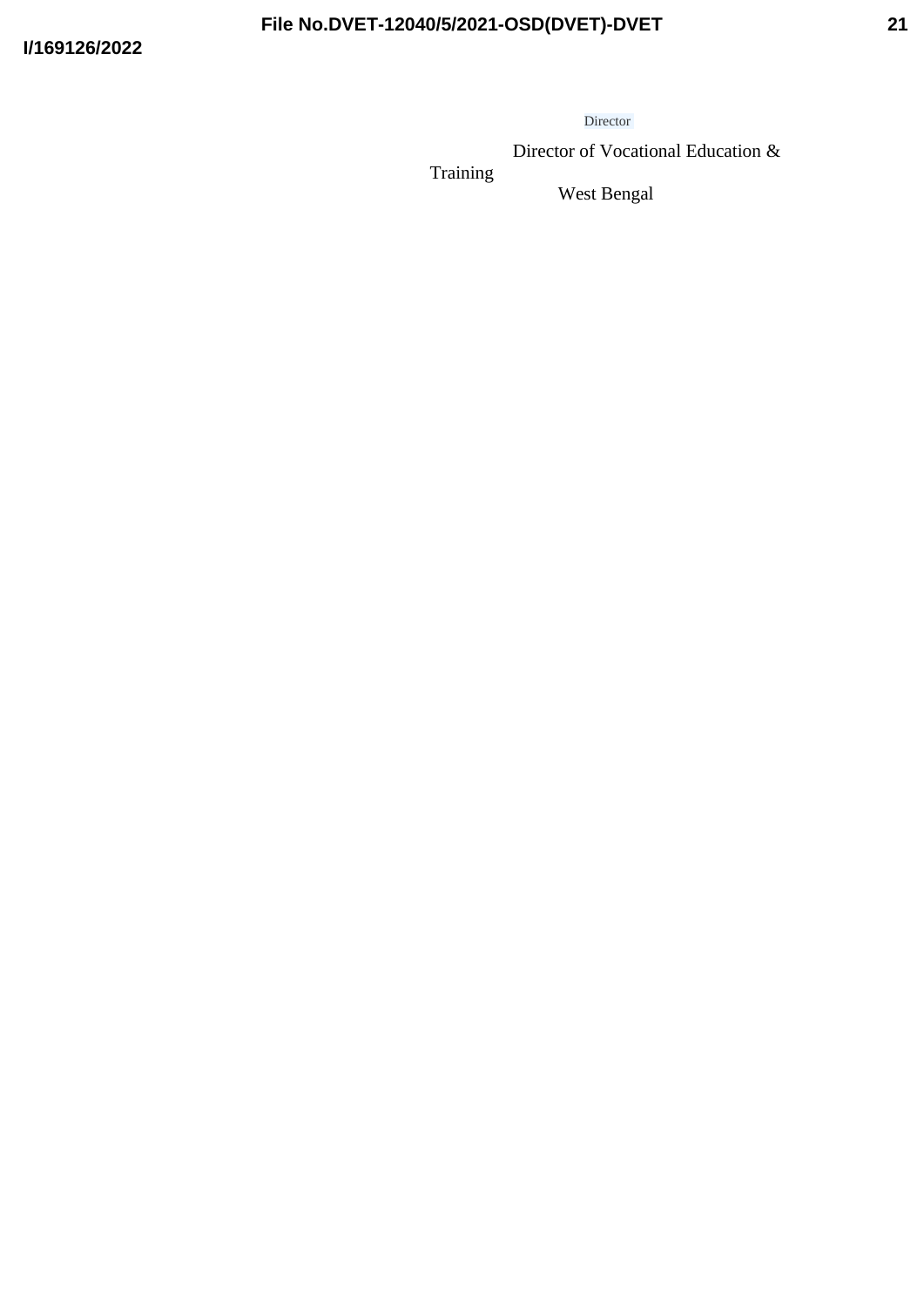Director

Director of Vocational Education &

Training

West Bengal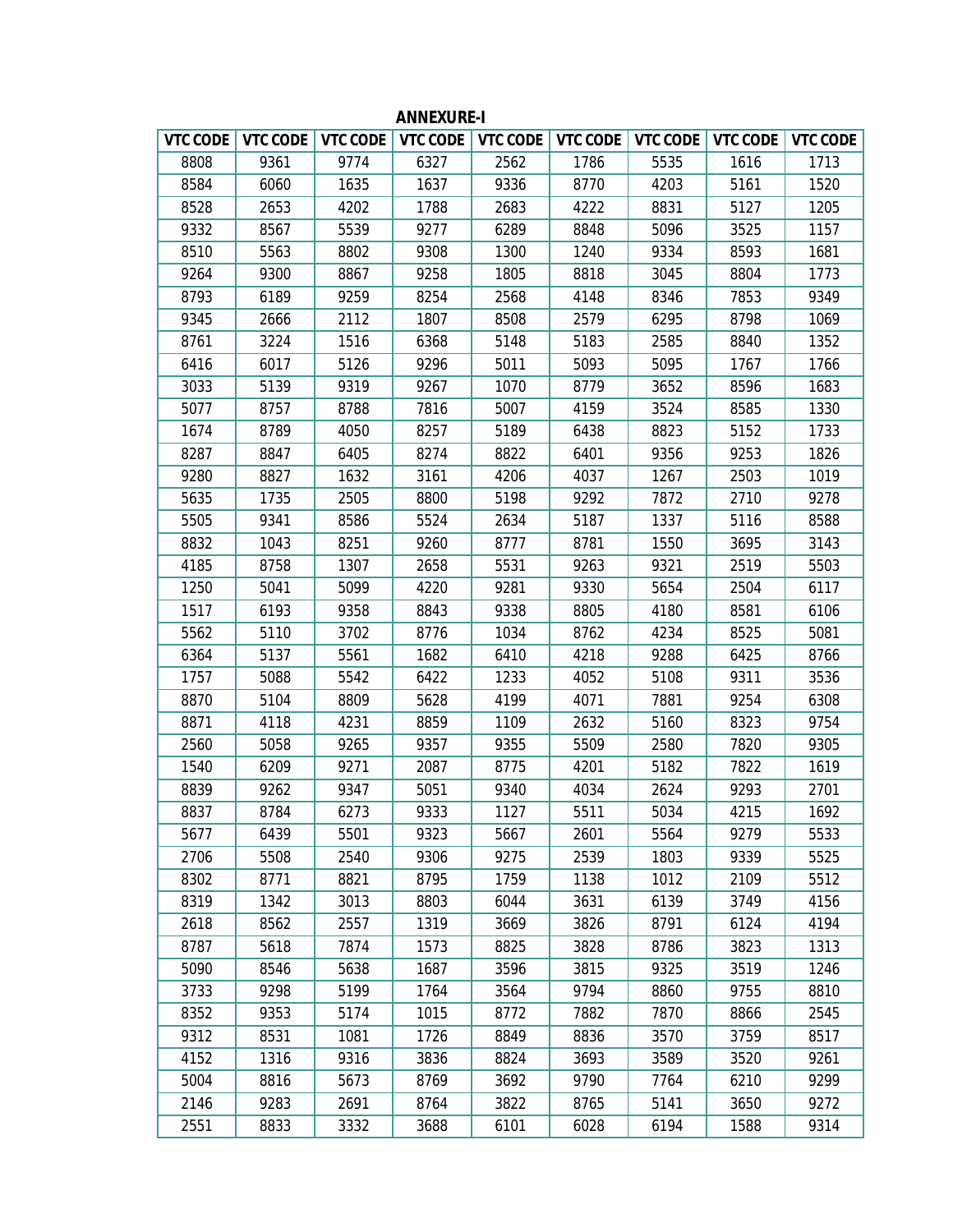| <b>VTC CODE</b> | VTC CODE | VTC CODE | VTC CODE | VTC CODE | VTC CODE | VTC CODE | <b>VTC CODE</b> | <b>VTC CODE</b> |
|-----------------|----------|----------|----------|----------|----------|----------|-----------------|-----------------|
| 8808            | 9361     | 9774     | 6327     | 2562     | 1786     | 5535     | 1616            | 1713            |
| 8584            | 6060     | 1635     | 1637     | 9336     | 8770     | 4203     | 5161            | 1520            |
| 8528            | 2653     | 4202     | 1788     | 2683     | 4222     | 8831     | 5127            | 1205            |
| 9332            | 8567     | 5539     | 9277     | 6289     | 8848     | 5096     | 3525            | 1157            |
| 8510            | 5563     | 8802     | 9308     | 1300     | 1240     | 9334     | 8593            | 1681            |
| 9264            | 9300     | 8867     | 9258     | 1805     | 8818     | 3045     | 8804            | 1773            |
| 8793            | 6189     | 9259     | 8254     | 2568     | 4148     | 8346     | 7853            | 9349            |
| 9345            | 2666     | 2112     | 1807     | 8508     | 2579     | 6295     | 8798            | 1069            |
| 8761            | 3224     | 1516     | 6368     | 5148     | 5183     | 2585     | 8840            | 1352            |
| 6416            | 6017     | 5126     | 9296     | 5011     | 5093     | 5095     | 1767            | 1766            |
| 3033            | 5139     | 9319     | 9267     | 1070     | 8779     | 3652     | 8596            | 1683            |
| 5077            | 8757     | 8788     | 7816     | 5007     | 4159     | 3524     | 8585            | 1330            |
| 1674            | 8789     | 4050     | 8257     | 5189     | 6438     | 8823     | 5152            | 1733            |
| 8287            | 8847     | 6405     | 8274     | 8822     | 6401     | 9356     | 9253            | 1826            |
| 9280            | 8827     | 1632     | 3161     | 4206     | 4037     | 1267     | 2503            | 1019            |
| 5635            | 1735     | 2505     | 8800     | 5198     | 9292     | 7872     | 2710            | 9278            |
| 5505            | 9341     | 8586     | 5524     | 2634     | 5187     | 1337     | 5116            | 8588            |
| 8832            | 1043     | 8251     | 9260     | 8777     | 8781     | 1550     | 3695            | 3143            |
| 4185            | 8758     | 1307     | 2658     | 5531     | 9263     | 9321     | 2519            | 5503            |
| 1250            | 5041     | 5099     | 4220     | 9281     | 9330     | 5654     | 2504            | 6117            |
| 1517            | 6193     | 9358     | 8843     | 9338     | 8805     | 4180     | 8581            | 6106            |
| 5562            | 5110     | 3702     | 8776     | 1034     | 8762     | 4234     | 8525            | 5081            |
| 6364            | 5137     | 5561     | 1682     | 6410     | 4218     | 9288     | 6425            | 8766            |
| 1757            | 5088     | 5542     | 6422     | 1233     | 4052     | 5108     | 9311            | 3536            |
| 8870            | 5104     | 8809     | 5628     | 4199     | 4071     | 7881     | 9254            | 6308            |
| 8871            | 4118     | 4231     | 8859     | 1109     | 2632     | 5160     | 8323            | 9754            |
| 2560            | 5058     | 9265     | 9357     | 9355     | 5509     | 2580     | 7820            | 9305            |
| 1540            | 6209     | 9271     | 2087     | 8775     | 4201     | 5182     | 7822            | 1619            |
| 8839            | 9262     | 9347     | 5051     | 9340     | 4034     | 2624     | 9293            | 2701            |
| 8837            | 8784     | 6273     | 9333     | 1127     | 5511     | 5034     | 4215            | 1692            |
| 5677            | 6439     | 5501     | 9323     | 5667     | 2601     | 5564     | 9279            | 5533            |
| 2706            | 5508     | 2540     | 9306     | 9275     | 2539     | 1803     | 9339            | 5525            |
| 8302            | 8771     | 8821     | 8795     | 1759     | 1138     | 1012     | 2109            | 5512            |
| 8319            | 1342     | 3013     | 8803     | 6044     | 3631     | 6139     | 3749            | 4156            |
| 2618            | 8562     | 2557     | 1319     | 3669     | 3826     | 8791     | 6124            | 4194            |
| 8787            | 5618     | 7874     | 1573     | 8825     | 3828     | 8786     | 3823            | 1313            |
| 5090            | 8546     | 5638     | 1687     | 3596     | 3815     | 9325     | 3519            | 1246            |
| 3733            | 9298     | 5199     | 1764     | 3564     | 9794     | 8860     | 9755            | 8810            |
| 8352            | 9353     | 5174     | 1015     | 8772     | 7882     | 7870     | 8866            | 2545            |
| 9312            | 8531     | 1081     | 1726     | 8849     | 8836     | 3570     | 3759            | 8517            |
| 4152            | 1316     | 9316     | 3836     | 8824     | 3693     | 3589     | 3520            | 9261            |
| 5004            | 8816     | 5673     | 8769     | 3692     | 9790     | 7764     | 6210            | 9299            |
| 2146            | 9283     | 2691     | 8764     | 3822     | 8765     | 5141     | 3650            | 9272            |
| 2551            | 8833     | 3332     | 3688     | 6101     | 6028     | 6194     | 1588            | 9314            |

**ANNEXURE-I**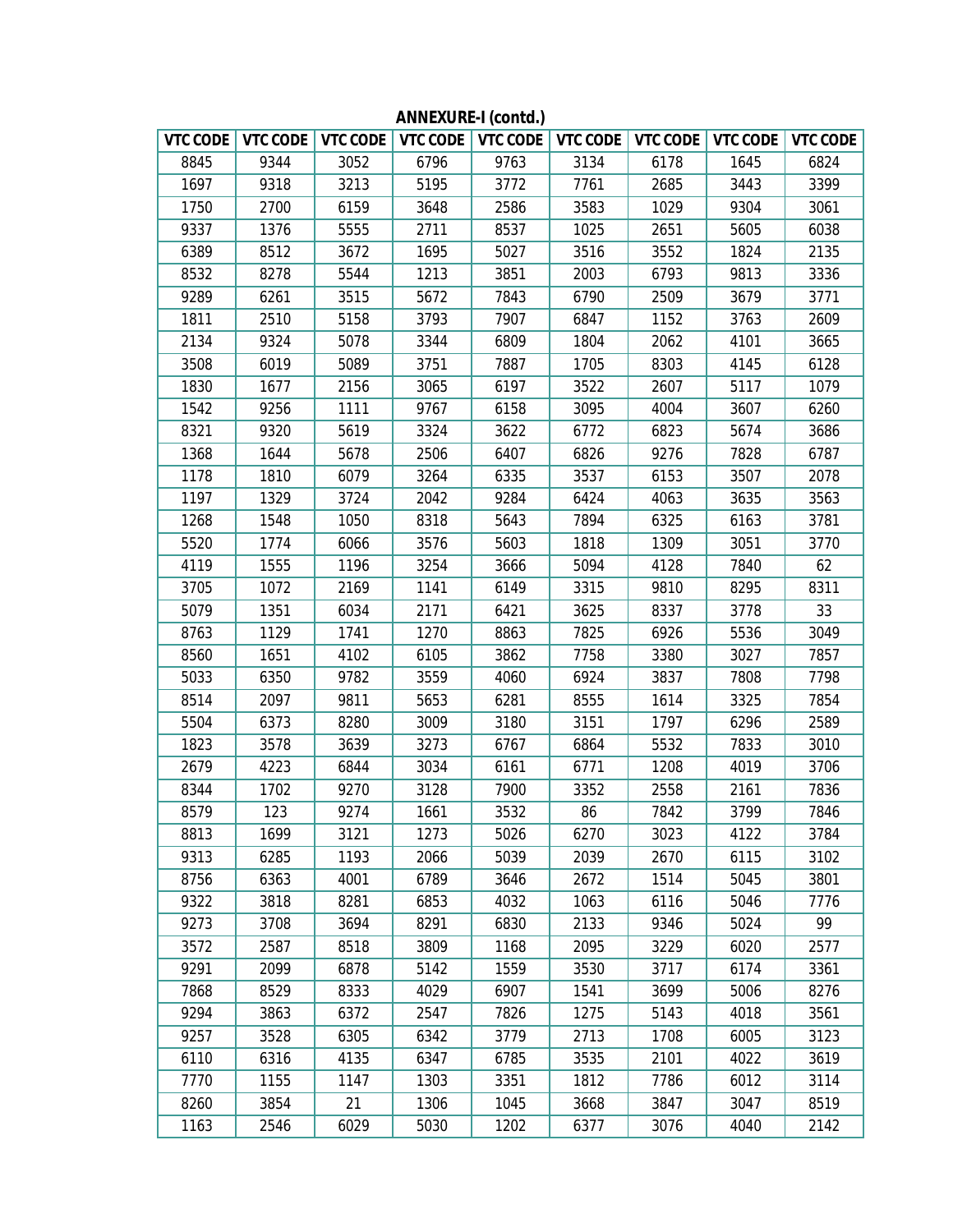|      |      | VTC CODE   VTC CODE   VTC CODE |      |      | VTC CODE   VTC CODE   VTC CODE |      | VTC CODE   VTC CODE   VTC CODE |      |
|------|------|--------------------------------|------|------|--------------------------------|------|--------------------------------|------|
| 8845 | 9344 | 3052                           | 6796 | 9763 | 3134                           | 6178 | 1645                           | 6824 |
| 1697 | 9318 | 3213                           | 5195 | 3772 | 7761                           | 2685 | 3443                           | 3399 |
| 1750 | 2700 | 6159                           | 3648 | 2586 | 3583                           | 1029 | 9304                           | 3061 |
| 9337 | 1376 | 5555                           | 2711 | 8537 | 1025                           | 2651 | 5605                           | 6038 |
| 6389 | 8512 | 3672                           | 1695 | 5027 | 3516                           | 3552 | 1824                           | 2135 |
| 8532 | 8278 | 5544                           | 1213 | 3851 | 2003                           | 6793 | 9813                           | 3336 |
| 9289 | 6261 | 3515                           | 5672 | 7843 | 6790                           | 2509 | 3679                           | 3771 |
| 1811 | 2510 | 5158                           | 3793 | 7907 | 6847                           | 1152 | 3763                           | 2609 |
| 2134 | 9324 | 5078                           | 3344 | 6809 | 1804                           | 2062 | 4101                           | 3665 |
| 3508 | 6019 | 5089                           | 3751 | 7887 | 1705                           | 8303 | 4145                           | 6128 |
| 1830 | 1677 | 2156                           | 3065 | 6197 | 3522                           | 2607 | 5117                           | 1079 |
| 1542 | 9256 | 1111                           | 9767 | 6158 | 3095                           | 4004 | 3607                           | 6260 |
| 8321 | 9320 | 5619                           | 3324 | 3622 | 6772                           | 6823 | 5674                           | 3686 |
| 1368 | 1644 | 5678                           | 2506 | 6407 | 6826                           | 9276 | 7828                           | 6787 |
| 1178 | 1810 | 6079                           | 3264 | 6335 | 3537                           | 6153 | 3507                           | 2078 |
| 1197 | 1329 | 3724                           | 2042 | 9284 | 6424                           | 4063 | 3635                           | 3563 |
| 1268 | 1548 | 1050                           | 8318 | 5643 | 7894                           | 6325 | 6163                           | 3781 |
| 5520 | 1774 | 6066                           | 3576 | 5603 | 1818                           | 1309 | 3051                           | 3770 |
| 4119 | 1555 | 1196                           | 3254 | 3666 | 5094                           | 4128 | 7840                           | 62   |
| 3705 | 1072 | 2169                           | 1141 | 6149 | 3315                           | 9810 | 8295                           | 8311 |
| 5079 | 1351 | 6034                           | 2171 | 6421 | 3625                           | 8337 | 3778                           | 33   |
| 8763 | 1129 | 1741                           | 1270 | 8863 | 7825                           | 6926 | 5536                           | 3049 |
| 8560 | 1651 | 4102                           | 6105 | 3862 | 7758                           | 3380 | 3027                           | 7857 |
| 5033 | 6350 | 9782                           | 3559 | 4060 | 6924                           | 3837 | 7808                           | 7798 |
| 8514 | 2097 | 9811                           | 5653 | 6281 | 8555                           | 1614 | 3325                           | 7854 |
| 5504 | 6373 | 8280                           | 3009 | 3180 | 3151                           | 1797 | 6296                           | 2589 |
| 1823 | 3578 | 3639                           | 3273 | 6767 | 6864                           | 5532 | 7833                           | 3010 |
| 2679 | 4223 | 6844                           | 3034 | 6161 | 6771                           | 1208 | 4019                           | 3706 |
| 8344 | 1702 | 9270                           | 3128 | 7900 | 3352                           | 2558 | 2161                           | 7836 |
| 8579 | 123  | 9274                           | 1661 | 3532 | 86                             | 7842 | 3799                           | 7846 |
| 8813 | 1699 | 3121                           | 1273 | 5026 | 6270                           | 3023 | 4122                           | 3784 |
| 9313 | 6285 | 1193                           | 2066 | 5039 | 2039                           | 2670 | 6115                           | 3102 |
| 8756 | 6363 | 4001                           | 6789 | 3646 | 2672                           | 1514 | 5045                           | 3801 |
| 9322 | 3818 | 8281                           | 6853 | 4032 | 1063                           | 6116 | 5046                           | 7776 |
| 9273 | 3708 | 3694                           | 8291 | 6830 | 2133                           | 9346 | 5024                           | 99   |
| 3572 | 2587 | 8518                           | 3809 | 1168 | 2095                           | 3229 | 6020                           | 2577 |
| 9291 | 2099 | 6878                           | 5142 | 1559 | 3530                           | 3717 | 6174                           | 3361 |
| 7868 | 8529 | 8333                           | 4029 | 6907 | 1541                           | 3699 | 5006                           | 8276 |
| 9294 | 3863 | 6372                           | 2547 | 7826 | 1275                           | 5143 | 4018                           | 3561 |
| 9257 | 3528 | 6305                           | 6342 | 3779 | 2713                           | 1708 | 6005                           | 3123 |
| 6110 | 6316 | 4135                           | 6347 | 6785 | 3535                           | 2101 | 4022                           | 3619 |
| 7770 | 1155 | 1147                           | 1303 | 3351 | 1812                           | 7786 | 6012                           | 3114 |
| 8260 | 3854 | 21                             | 1306 | 1045 | 3668                           | 3847 | 3047                           | 8519 |
| 1163 | 2546 | 6029                           | 5030 | 1202 | 6377                           | 3076 | 4040                           | 2142 |

**ANNEXURE-I (contd.)**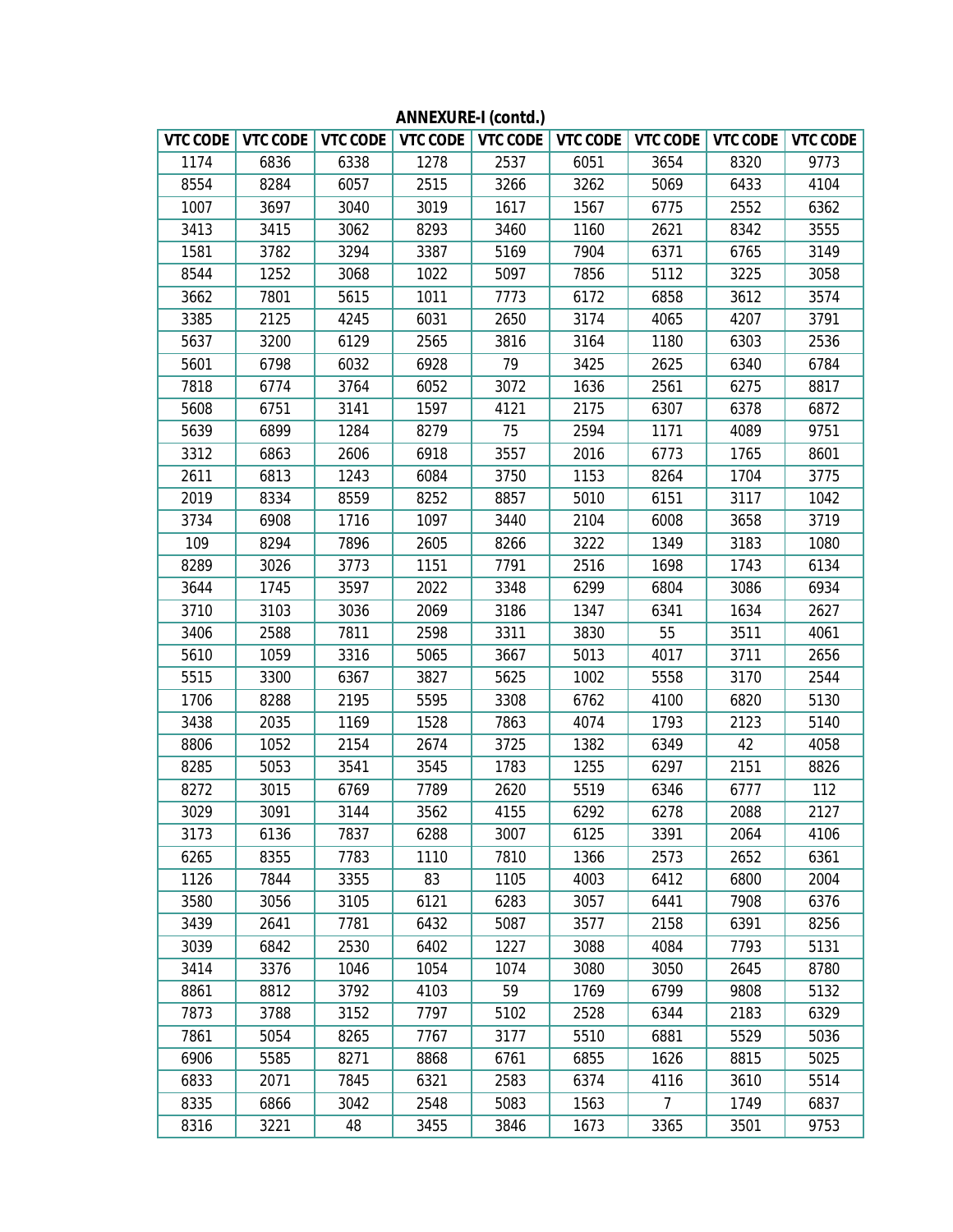|      |      | VTC CODE   VTC CODE   VTC CODE   VTC CODE   VTC CODE   VTC CODE |      |      |      | VTC CODE       |      | VTC CODE   VTC CODE |
|------|------|-----------------------------------------------------------------|------|------|------|----------------|------|---------------------|
| 1174 | 6836 | 6338                                                            | 1278 | 2537 | 6051 | 3654           | 8320 | 9773                |
| 8554 | 8284 | 6057                                                            | 2515 | 3266 | 3262 | 5069           | 6433 | 4104                |
| 1007 | 3697 | 3040                                                            | 3019 | 1617 | 1567 | 6775           | 2552 | 6362                |
| 3413 | 3415 | 3062                                                            | 8293 | 3460 | 1160 | 2621           | 8342 | 3555                |
| 1581 | 3782 | 3294                                                            | 3387 | 5169 | 7904 | 6371           | 6765 | 3149                |
| 8544 | 1252 | 3068                                                            | 1022 | 5097 | 7856 | 5112           | 3225 | 3058                |
| 3662 | 7801 | 5615                                                            | 1011 | 7773 | 6172 | 6858           | 3612 | 3574                |
| 3385 | 2125 | 4245                                                            | 6031 | 2650 | 3174 | 4065           | 4207 | 3791                |
| 5637 | 3200 | 6129                                                            | 2565 | 3816 | 3164 | 1180           | 6303 | 2536                |
| 5601 | 6798 | 6032                                                            | 6928 | 79   | 3425 | 2625           | 6340 | 6784                |
| 7818 | 6774 | 3764                                                            | 6052 | 3072 | 1636 | 2561           | 6275 | 8817                |
| 5608 | 6751 | 3141                                                            | 1597 | 4121 | 2175 | 6307           | 6378 | 6872                |
| 5639 | 6899 | 1284                                                            | 8279 | 75   | 2594 | 1171           | 4089 | 9751                |
| 3312 | 6863 | 2606                                                            | 6918 | 3557 | 2016 | 6773           | 1765 | 8601                |
| 2611 | 6813 | 1243                                                            | 6084 | 3750 | 1153 | 8264           | 1704 | 3775                |
| 2019 | 8334 | 8559                                                            | 8252 | 8857 | 5010 | 6151           | 3117 | 1042                |
| 3734 | 6908 | 1716                                                            | 1097 | 3440 | 2104 | 6008           | 3658 | 3719                |
| 109  | 8294 | 7896                                                            | 2605 | 8266 | 3222 | 1349           | 3183 | 1080                |
| 8289 | 3026 | 3773                                                            | 1151 | 7791 | 2516 | 1698           | 1743 | 6134                |
| 3644 | 1745 | 3597                                                            | 2022 | 3348 | 6299 | 6804           | 3086 | 6934                |
| 3710 | 3103 | 3036                                                            | 2069 | 3186 | 1347 | 6341           | 1634 | 2627                |
| 3406 | 2588 | 7811                                                            | 2598 | 3311 | 3830 | 55             | 3511 | 4061                |
| 5610 | 1059 | 3316                                                            | 5065 | 3667 | 5013 | 4017           | 3711 | 2656                |
| 5515 | 3300 | 6367                                                            | 3827 | 5625 | 1002 | 5558           | 3170 | 2544                |
| 1706 | 8288 | 2195                                                            | 5595 | 3308 | 6762 | 4100           | 6820 | 5130                |
| 3438 | 2035 | 1169                                                            | 1528 | 7863 | 4074 | 1793           | 2123 | 5140                |
| 8806 | 1052 | 2154                                                            | 2674 | 3725 | 1382 | 6349           | 42   | 4058                |
| 8285 | 5053 | 3541                                                            | 3545 | 1783 | 1255 | 6297           | 2151 | 8826                |
| 8272 | 3015 | 6769                                                            | 7789 | 2620 | 5519 | 6346           | 6777 | 112                 |
| 3029 | 3091 | 3144                                                            | 3562 | 4155 | 6292 | 6278           | 2088 | 2127                |
| 3173 | 6136 | 7837                                                            | 6288 | 3007 | 6125 | 3391           | 2064 | 4106                |
| 6265 | 8355 | 7783                                                            | 1110 | 7810 | 1366 | 2573           | 2652 | 6361                |
| 1126 | 7844 | 3355                                                            | 83   | 1105 | 4003 | 6412           | 6800 | 2004                |
| 3580 | 3056 | 3105                                                            | 6121 | 6283 | 3057 | 6441           | 7908 | 6376                |
| 3439 | 2641 | 7781                                                            | 6432 | 5087 | 3577 | 2158           | 6391 | 8256                |
| 3039 | 6842 | 2530                                                            | 6402 | 1227 | 3088 | 4084           | 7793 | 5131                |
| 3414 | 3376 | 1046                                                            | 1054 | 1074 | 3080 | 3050           | 2645 | 8780                |
| 8861 | 8812 | 3792                                                            | 4103 | 59   | 1769 | 6799           | 9808 | 5132                |
| 7873 | 3788 | 3152                                                            | 7797 | 5102 | 2528 | 6344           | 2183 | 6329                |
| 7861 | 5054 | 8265                                                            | 7767 | 3177 | 5510 | 6881           | 5529 | 5036                |
| 6906 | 5585 | 8271                                                            | 8868 | 6761 | 6855 | 1626           | 8815 | 5025                |
| 6833 | 2071 | 7845                                                            | 6321 | 2583 | 6374 | 4116           | 3610 | 5514                |
| 8335 | 6866 | 3042                                                            | 2548 | 5083 | 1563 | $\overline{7}$ | 1749 | 6837                |
| 8316 | 3221 | 48                                                              | 3455 | 3846 | 1673 | 3365           | 3501 | 9753                |

**ANNEXURE-I (contd.)**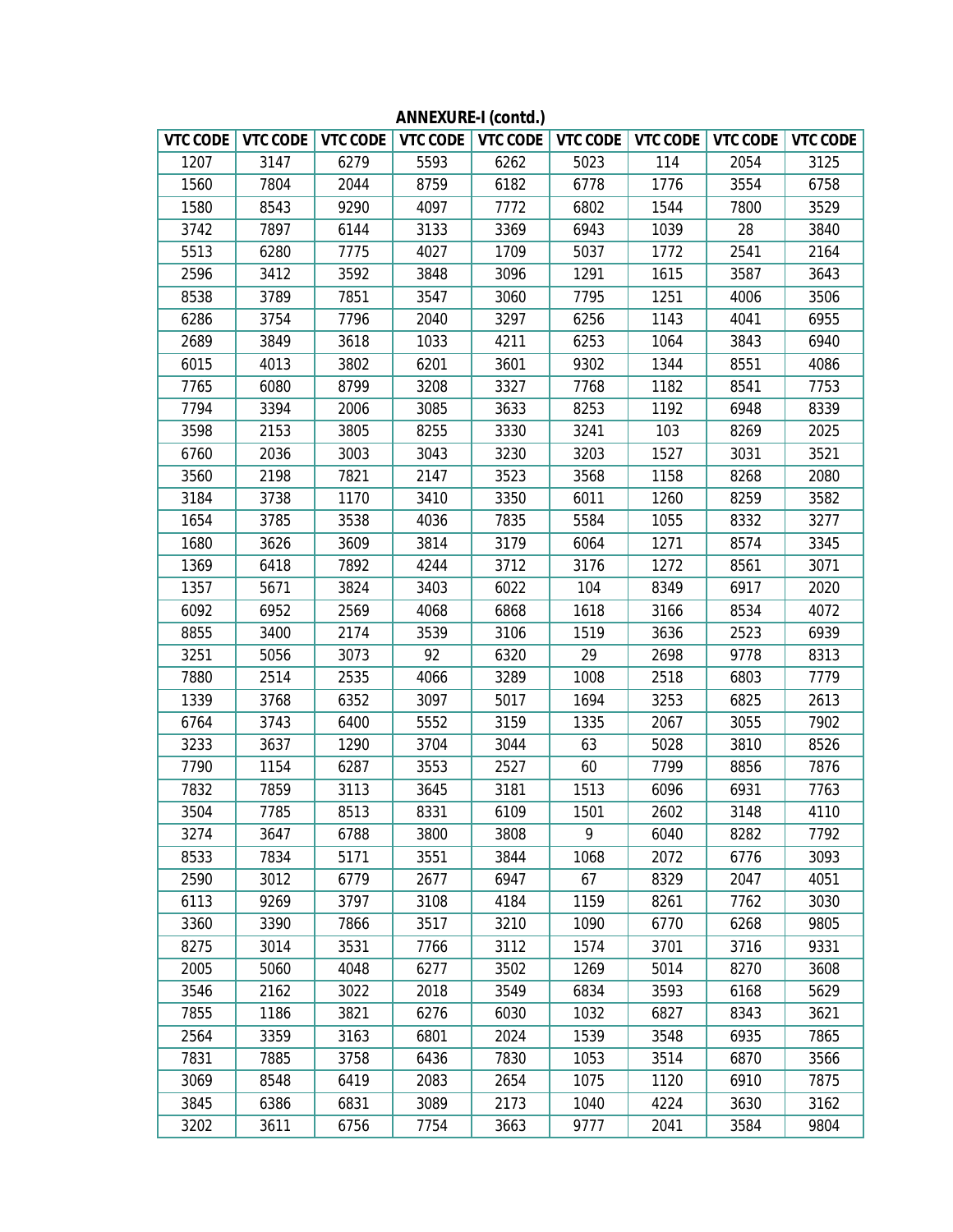| VTC CODE |      | VTC CODE   VTC CODE |      |      | VTC CODE   VTC CODE   VTC CODE | VTC CODE |      | VTC CODE   VTC CODE |
|----------|------|---------------------|------|------|--------------------------------|----------|------|---------------------|
| 1207     | 3147 | 6279                | 5593 | 6262 | 5023                           | 114      | 2054 | 3125                |
| 1560     | 7804 | 2044                | 8759 | 6182 | 6778                           | 1776     | 3554 | 6758                |
| 1580     | 8543 | 9290                | 4097 | 7772 | 6802                           | 1544     | 7800 | 3529                |
| 3742     | 7897 | 6144                | 3133 | 3369 | 6943                           | 1039     | 28   | 3840                |
| 5513     | 6280 | 7775                | 4027 | 1709 | 5037                           | 1772     | 2541 | 2164                |
| 2596     | 3412 | 3592                | 3848 | 3096 | 1291                           | 1615     | 3587 | 3643                |
| 8538     | 3789 | 7851                | 3547 | 3060 | 7795                           | 1251     | 4006 | 3506                |
| 6286     | 3754 | 7796                | 2040 | 3297 | 6256                           | 1143     | 4041 | 6955                |
| 2689     | 3849 | 3618                | 1033 | 4211 | 6253                           | 1064     | 3843 | 6940                |
| 6015     | 4013 | 3802                | 6201 | 3601 | 9302                           | 1344     | 8551 | 4086                |
| 7765     | 6080 | 8799                | 3208 | 3327 | 7768                           | 1182     | 8541 | 7753                |
| 7794     | 3394 | 2006                | 3085 | 3633 | 8253                           | 1192     | 6948 | 8339                |
| 3598     | 2153 | 3805                | 8255 | 3330 | 3241                           | 103      | 8269 | 2025                |
| 6760     | 2036 | 3003                | 3043 | 3230 | 3203                           | 1527     | 3031 | 3521                |
| 3560     | 2198 | 7821                | 2147 | 3523 | 3568                           | 1158     | 8268 | 2080                |
| 3184     | 3738 | 1170                | 3410 | 3350 | 6011                           | 1260     | 8259 | 3582                |
| 1654     | 3785 | 3538                | 4036 | 7835 | 5584                           | 1055     | 8332 | 3277                |
| 1680     | 3626 | 3609                | 3814 | 3179 | 6064                           | 1271     | 8574 | 3345                |
| 1369     | 6418 | 7892                | 4244 | 3712 | 3176                           | 1272     | 8561 | 3071                |
| 1357     | 5671 | 3824                | 3403 | 6022 | 104                            | 8349     | 6917 | 2020                |
| 6092     | 6952 | 2569                | 4068 | 6868 | 1618                           | 3166     | 8534 | 4072                |
| 8855     | 3400 | 2174                | 3539 | 3106 | 1519                           | 3636     | 2523 | 6939                |
| 3251     | 5056 | 3073                | 92   | 6320 | 29                             | 2698     | 9778 | 8313                |
| 7880     | 2514 | 2535                | 4066 | 3289 | 1008                           | 2518     | 6803 | 7779                |
| 1339     | 3768 | 6352                | 3097 | 5017 | 1694                           | 3253     | 6825 | 2613                |
| 6764     | 3743 | 6400                | 5552 | 3159 | 1335                           | 2067     | 3055 | 7902                |
| 3233     | 3637 | 1290                | 3704 | 3044 | 63                             | 5028     | 3810 | 8526                |
| 7790     | 1154 | 6287                | 3553 | 2527 | 60                             | 7799     | 8856 | 7876                |
| 7832     | 7859 | 3113                | 3645 | 3181 | 1513                           | 6096     | 6931 | 7763                |
| 3504     | 7785 | 8513                | 8331 | 6109 | 1501                           | 2602     | 3148 | 4110                |
| 3274     | 3647 | 6788                | 3800 | 3808 | 9                              | 6040     | 8282 | 7792                |
| 8533     | 7834 | 5171                | 3551 | 3844 | 1068                           | 2072     | 6776 | 3093                |
| 2590     | 3012 | 6779                | 2677 | 6947 | 67                             | 8329     | 2047 | 4051                |
| 6113     | 9269 | 3797                | 3108 | 4184 | 1159                           | 8261     | 7762 | 3030                |
| 3360     | 3390 | 7866                | 3517 | 3210 | 1090                           | 6770     | 6268 | 9805                |
| 8275     | 3014 | 3531                | 7766 | 3112 | 1574                           | 3701     | 3716 | 9331                |
| 2005     | 5060 | 4048                | 6277 | 3502 | 1269                           | 5014     | 8270 | 3608                |
| 3546     | 2162 | 3022                | 2018 | 3549 | 6834                           | 3593     | 6168 | 5629                |
| 7855     | 1186 | 3821                | 6276 | 6030 | 1032                           | 6827     | 8343 | 3621                |
| 2564     | 3359 | 3163                | 6801 | 2024 | 1539                           | 3548     | 6935 | 7865                |
| 7831     | 7885 | 3758                | 6436 | 7830 | 1053                           | 3514     | 6870 | 3566                |
| 3069     | 8548 | 6419                | 2083 | 2654 | 1075                           | 1120     | 6910 | 7875                |
| 3845     | 6386 | 6831                | 3089 | 2173 | 1040                           | 4224     | 3630 | 3162                |
| 3202     | 3611 | 6756                | 7754 | 3663 | 9777                           | 2041     | 3584 | 9804                |

**ANNEXURE-I (contd.)**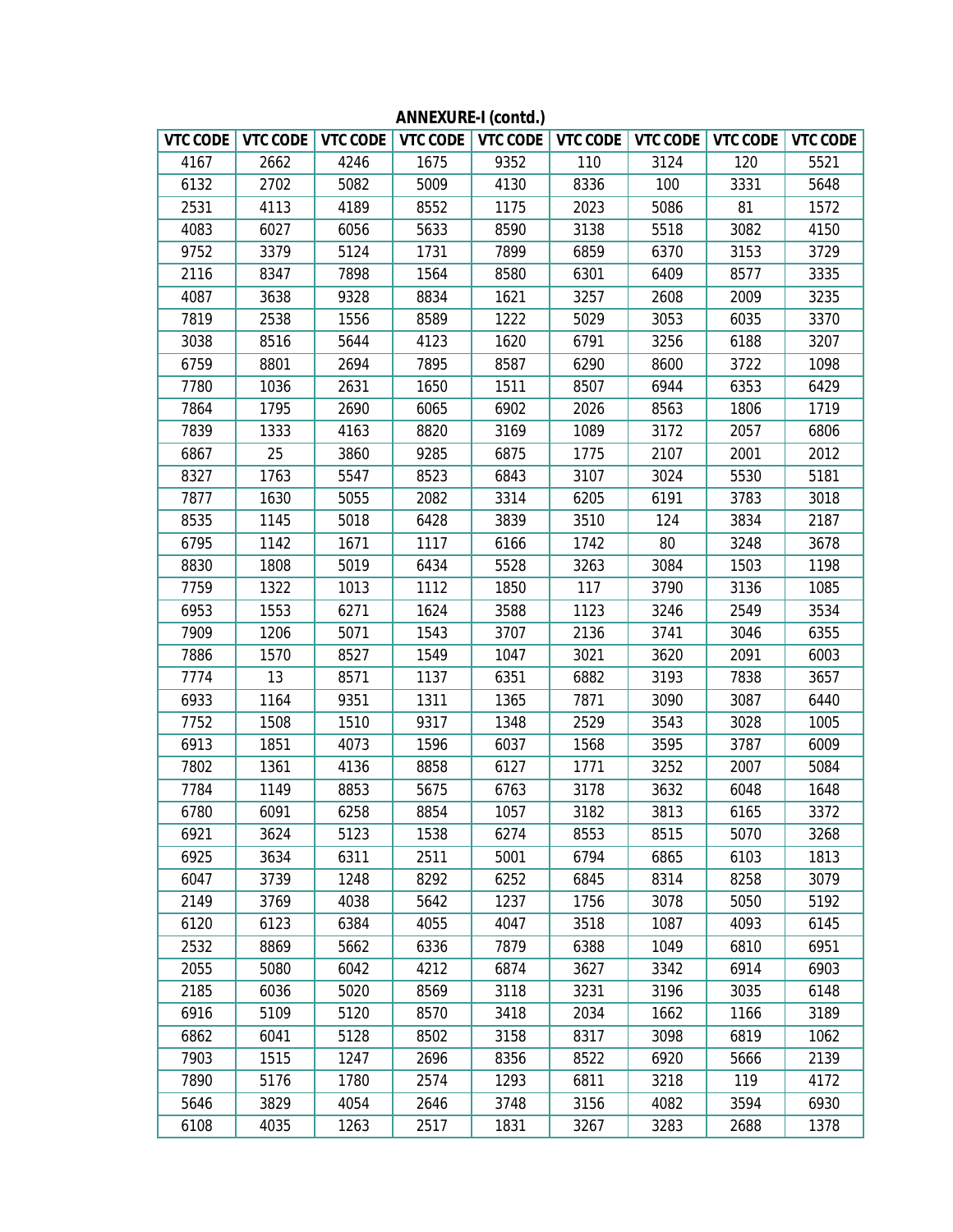| VTC CODE |      | VTC CODE   VTC CODE |      |      | VTC CODE   VTC CODE   VTC CODE |      | VTC CODE   VTC CODE   VTC CODE |      |
|----------|------|---------------------|------|------|--------------------------------|------|--------------------------------|------|
| 4167     | 2662 | 4246                | 1675 | 9352 | 110                            | 3124 | 120                            | 5521 |
| 6132     | 2702 | 5082                | 5009 | 4130 | 8336                           | 100  | 3331                           | 5648 |
| 2531     | 4113 | 4189                | 8552 | 1175 | 2023                           | 5086 | 81                             | 1572 |
| 4083     | 6027 | 6056                | 5633 | 8590 | 3138                           | 5518 | 3082                           | 4150 |
| 9752     | 3379 | 5124                | 1731 | 7899 | 6859                           | 6370 | 3153                           | 3729 |
| 2116     | 8347 | 7898                | 1564 | 8580 | 6301                           | 6409 | 8577                           | 3335 |
| 4087     | 3638 | 9328                | 8834 | 1621 | 3257                           | 2608 | 2009                           | 3235 |
| 7819     | 2538 | 1556                | 8589 | 1222 | 5029                           | 3053 | 6035                           | 3370 |
| 3038     | 8516 | 5644                | 4123 | 1620 | 6791                           | 3256 | 6188                           | 3207 |
| 6759     | 8801 | 2694                | 7895 | 8587 | 6290                           | 8600 | 3722                           | 1098 |
| 7780     | 1036 | 2631                | 1650 | 1511 | 8507                           | 6944 | 6353                           | 6429 |
| 7864     | 1795 | 2690                | 6065 | 6902 | 2026                           | 8563 | 1806                           | 1719 |
| 7839     | 1333 | 4163                | 8820 | 3169 | 1089                           | 3172 | 2057                           | 6806 |
| 6867     | 25   | 3860                | 9285 | 6875 | 1775                           | 2107 | 2001                           | 2012 |
| 8327     | 1763 | 5547                | 8523 | 6843 | 3107                           | 3024 | 5530                           | 5181 |
| 7877     | 1630 | 5055                | 2082 | 3314 | 6205                           | 6191 | 3783                           | 3018 |
| 8535     | 1145 | 5018                | 6428 | 3839 | 3510                           | 124  | 3834                           | 2187 |
| 6795     | 1142 | 1671                | 1117 | 6166 | 1742                           | 80   | 3248                           | 3678 |
| 8830     | 1808 | 5019                | 6434 | 5528 | 3263                           | 3084 | 1503                           | 1198 |
| 7759     | 1322 | 1013                | 1112 | 1850 | 117                            | 3790 | 3136                           | 1085 |
| 6953     | 1553 | 6271                | 1624 | 3588 | 1123                           | 3246 | 2549                           | 3534 |
| 7909     | 1206 | 5071                | 1543 | 3707 | 2136                           | 3741 | 3046                           | 6355 |
| 7886     | 1570 | 8527                | 1549 | 1047 | 3021                           | 3620 | 2091                           | 6003 |
| 7774     | 13   | 8571                | 1137 | 6351 | 6882                           | 3193 | 7838                           | 3657 |
| 6933     | 1164 | 9351                | 1311 | 1365 | 7871                           | 3090 | 3087                           | 6440 |
| 7752     | 1508 | 1510                | 9317 | 1348 | 2529                           | 3543 | 3028                           | 1005 |
| 6913     | 1851 | 4073                | 1596 | 6037 | 1568                           | 3595 | 3787                           | 6009 |
| 7802     | 1361 | 4136                | 8858 | 6127 | 1771                           | 3252 | 2007                           | 5084 |
| 7784     | 1149 | 8853                | 5675 | 6763 | 3178                           | 3632 | 6048                           | 1648 |
| 6780     | 6091 | 6258                | 8854 | 1057 | 3182                           | 3813 | 6165                           | 3372 |
| 6921     | 3624 | 5123                | 1538 | 6274 | 8553                           | 8515 | 5070                           | 3268 |
| 6925     | 3634 | 6311                | 2511 | 5001 | 6794                           | 6865 | 6103                           | 1813 |
| 6047     | 3739 | 1248                | 8292 | 6252 | 6845                           | 8314 | 8258                           | 3079 |
| 2149     | 3769 | 4038                | 5642 | 1237 | 1756                           | 3078 | 5050                           | 5192 |
| 6120     | 6123 | 6384                | 4055 | 4047 | 3518                           | 1087 | 4093                           | 6145 |
| 2532     | 8869 | 5662                | 6336 | 7879 | 6388                           | 1049 | 6810                           | 6951 |
| 2055     | 5080 | 6042                | 4212 | 6874 | 3627                           | 3342 | 6914                           | 6903 |
| 2185     | 6036 | 5020                | 8569 | 3118 | 3231                           | 3196 | 3035                           | 6148 |
| 6916     | 5109 | 5120                | 8570 | 3418 | 2034                           | 1662 | 1166                           | 3189 |
| 6862     | 6041 | 5128                | 8502 | 3158 | 8317                           | 3098 | 6819                           | 1062 |
| 7903     | 1515 | 1247                | 2696 | 8356 | 8522                           | 6920 | 5666                           | 2139 |
| 7890     | 5176 | 1780                | 2574 | 1293 | 6811                           | 3218 | 119                            | 4172 |
| 5646     | 3829 | 4054                | 2646 | 3748 | 3156                           | 4082 | 3594                           | 6930 |
| 6108     | 4035 | 1263                | 2517 | 1831 | 3267                           | 3283 | 2688                           | 1378 |

**ANNEXURE-I (contd.)**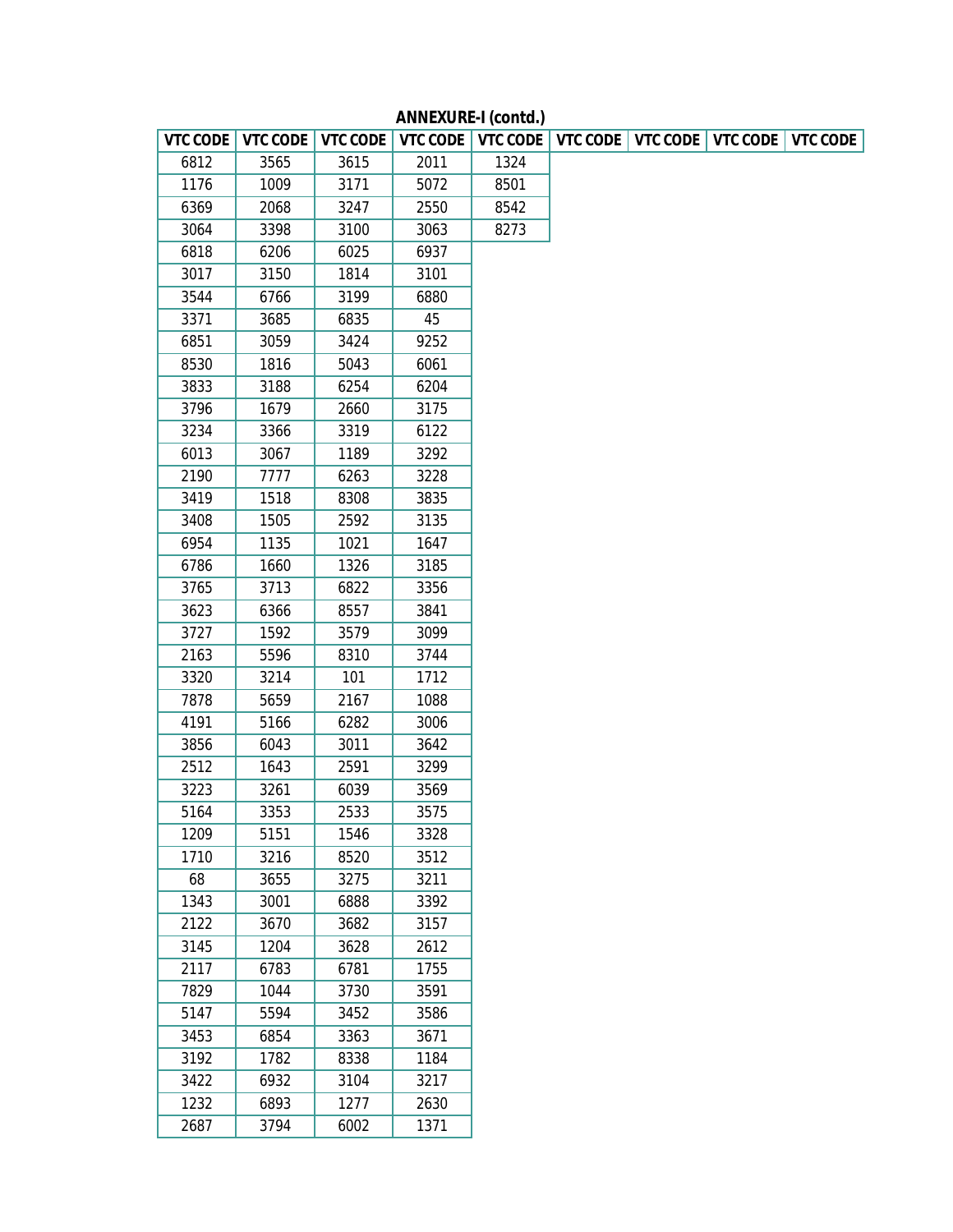| <b>VTC CODE</b> | <b>VTC CODE</b> | <b>VTC CODE</b> | <b>VTC CODE</b> |      | VTC CODE   VTC CODE   VTC CODE   VTC CODE |  | <b>VTC CODE</b> |
|-----------------|-----------------|-----------------|-----------------|------|-------------------------------------------|--|-----------------|
| 6812            | 3565            | 3615            | 2011            | 1324 |                                           |  |                 |
| 1176            | 1009            | 3171            | 5072            | 8501 |                                           |  |                 |
| 6369            | 2068            | 3247            | 2550            | 8542 |                                           |  |                 |
| 3064            | 3398            | 3100            | 3063            | 8273 |                                           |  |                 |
| 6818            | 6206            | 6025            | 6937            |      |                                           |  |                 |
| 3017            | 3150            | 1814            | 3101            |      |                                           |  |                 |
| 3544            | 6766            | 3199            | 6880            |      |                                           |  |                 |
| 3371            | 3685            | 6835            | 45              |      |                                           |  |                 |
| 6851            | 3059            | 3424            | 9252            |      |                                           |  |                 |
| 8530            | 1816            | 5043            | 6061            |      |                                           |  |                 |
| 3833            | 3188            | 6254            | 6204            |      |                                           |  |                 |
| 3796            | 1679            | 2660            | 3175            |      |                                           |  |                 |
| 3234            | 3366            | 3319            | 6122            |      |                                           |  |                 |
| 6013            | 3067            | 1189            | 3292            |      |                                           |  |                 |
| 2190            | 7777            | 6263            | 3228            |      |                                           |  |                 |
| 3419            | 1518            | 8308            | 3835            |      |                                           |  |                 |
| 3408            | 1505            | 2592            | 3135            |      |                                           |  |                 |
| 6954            | 1135            | 1021            | 1647            |      |                                           |  |                 |
| 6786            | 1660            | 1326            | 3185            |      |                                           |  |                 |
| 3765            | 3713            | 6822            | 3356            |      |                                           |  |                 |
| 3623            | 6366            | 8557            | 3841            |      |                                           |  |                 |
| 3727            | 1592            | 3579            | 3099            |      |                                           |  |                 |
| 2163            | 5596            | 8310            | 3744            |      |                                           |  |                 |
| 3320            | 3214            | 101             | 1712            |      |                                           |  |                 |
| 7878            | 5659            | 2167            | 1088            |      |                                           |  |                 |
| 4191            | 5166            | 6282            | 3006            |      |                                           |  |                 |
| 3856            | 6043            | 3011            | 3642            |      |                                           |  |                 |
| 2512            | 1643            | 2591            | 3299            |      |                                           |  |                 |
| 3223            | 3261            | 6039            | 3569            |      |                                           |  |                 |
| 5164            | 3353            | 2533            | 3575            |      |                                           |  |                 |
| 1209            | 5151            | 1546            | 3328            |      |                                           |  |                 |
| 1710            | 3216            | 8520            | 3512            |      |                                           |  |                 |
| 68              | 3655            | 3275            | 3211            |      |                                           |  |                 |
| 1343            | 3001            | 6888            | 3392            |      |                                           |  |                 |
| 2122            | 3670            | 3682            | 3157            |      |                                           |  |                 |
| 3145            | 1204            | 3628            | 2612            |      |                                           |  |                 |
| 2117            | 6783            | 6781            | 1755            |      |                                           |  |                 |
| 7829            | 1044            | 3730            | 3591            |      |                                           |  |                 |
| 5147            | 5594            | 3452            | 3586            |      |                                           |  |                 |
| 3453            | 6854            | 3363            | 3671            |      |                                           |  |                 |
| 3192            | 1782            | 8338            | 1184            |      |                                           |  |                 |
| 3422            | 6932            | 3104            | 3217            |      |                                           |  |                 |
| 1232            | 6893            | 1277            | 2630            |      |                                           |  |                 |
| 2687            | 3794            | 6002            | 1371            |      |                                           |  |                 |

**ANNEXURE-I (contd.)**